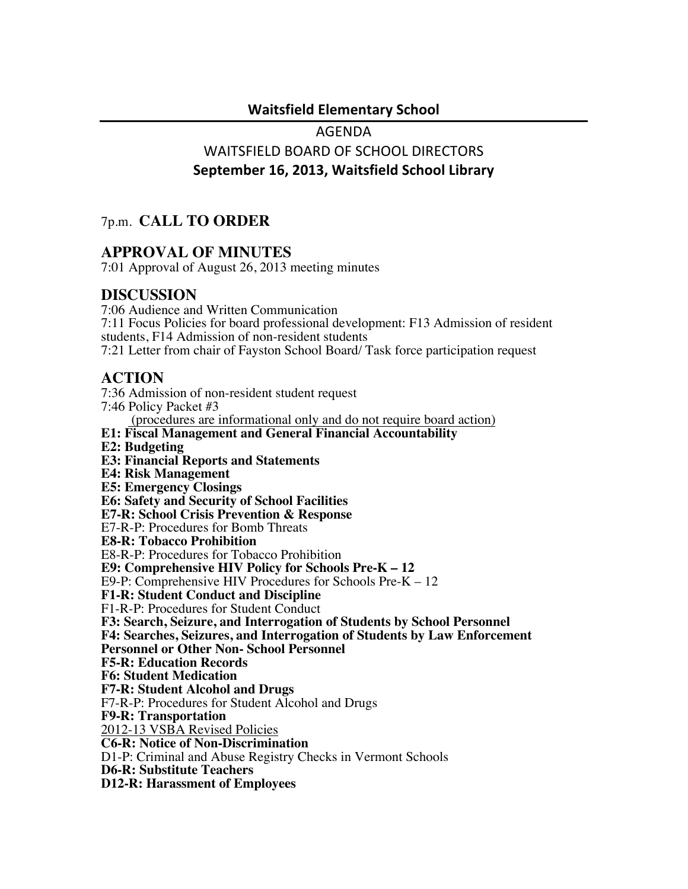#### **Waitsfield!Elementary!School**

# AGENDA WAITSFIELD BOARD OF SCHOOL DIRECTORS **September 16, 2013, Waitsfield School Library**

## 7p.m. **CALL TO ORDER**

#### **APPROVAL OF MINUTES**

7:01 Approval of August 26, 2013 meeting minutes

#### **DISCUSSION**

7:06 Audience and Written Communication 7:11 Focus Policies for board professional development: F13 Admission of resident students, F14 Admission of non-resident students 7:21 Letter from chair of Fayston School Board/ Task force participation request

### **ACTION**

7:36 Admission of non-resident student request 7:46 Policy Packet #3 (procedures are informational only and do not require board action) **E1: Fiscal Management and General Financial Accountability E2: Budgeting E3: Financial Reports and Statements E4: Risk Management E5: Emergency Closings E6: Safety and Security of School Facilities E7-R: School Crisis Prevention & Response** E7-R-P: Procedures for Bomb Threats **E8-R: Tobacco Prohibition** E8-R-P: Procedures for Tobacco Prohibition **E9: Comprehensive HIV Policy for Schools Pre-K – 12** E9-P: Comprehensive HIV Procedures for Schools Pre-K – 12 **F1-R: Student Conduct and Discipline** F1-R-P: Procedures for Student Conduct **F3: Search, Seizure, and Interrogation of Students by School Personnel F4: Searches, Seizures, and Interrogation of Students by Law Enforcement Personnel or Other Non- School Personnel F5-R: Education Records F6: Student Medication F7-R: Student Alcohol and Drugs** F7-R-P: Procedures for Student Alcohol and Drugs **F9-R: Transportation** 2012-13 VSBA Revised Policies **C6-R: Notice of Non-Discrimination** D1-P: Criminal and Abuse Registry Checks in Vermont Schools **D6-R: Substitute Teachers D12-R: Harassment of Employees**